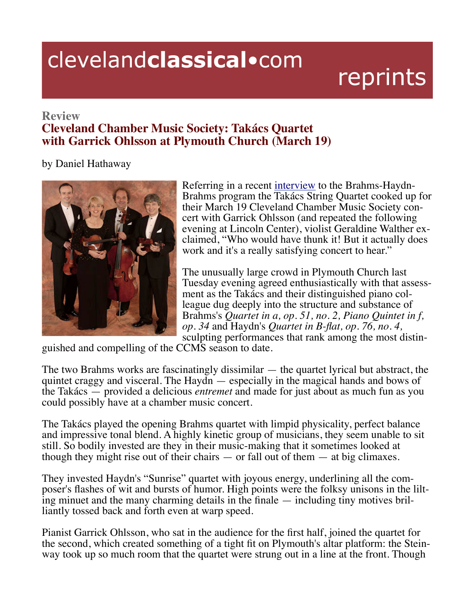## clevelandclassical.com

reprints

## **Review Cleveland Chamber Music Society: Takács Quartet with Garrick Ohlsson at Plymouth Church (March 19)**

by Daniel Hathaway



Referring in a recent interview to the Brahms-Haydn-Brahms program the Takács String Quartet cooked up for their March 19 Cleveland Chamber Music Society concert with Garrick Ohlsson (and repeated the following evening at Lincoln Center), violist Geraldine Walther exclaimed, "Who would have thunk it! But it actually does work and it's a really satisfying concert to hear."

The unusually large crowd in Plymouth Church last Tuesday evening agreed enthusiastically with that assessment as the Takács and their distinguished piano colleague dug deeply into the structure and substance of Brahms's *Quartet in a, op. 51, no. 2, Piano Quintet in f, op.* 34 and Haydn's *Quartet in B-flat, op.* 76, no. 4, sculpting performances that rank among the most distin-

guished and compelling of the CCMS season to date.

The two Brahms works are fascinatingly dissimilar — the quartet lyrical but abstract, the quintet craggy and visceral. The Haydn — especially in the magical hands and bows of the Takács — provided a delicious *entremet* and made for just about as much fun as you could possibly have at a chamber music concert.

The Takács played the opening Brahms quartet with limpid physicality, perfect balance and impressive tonal blend. A highly kinetic group of musicians, they seem unable to sit still. So bodily invested are they in their music-making that it sometimes looked at though they might rise out of their chairs  $-$  or fall out of them  $-$  at big climaxes.

They invested Haydn's "Sunrise" quartet with joyous energy, underlining all the composer's flashes of wit and bursts of humor. High points were the folksy unisons in the lilting minuet and the many charming details in the

Pianist Garrick Ohlsson, who sat in the audience for the first half, joined the quartet for the second, which created something of a tight fit on Plymouth's altar platform: the Stein-<br>way took up so much room that the quartet were strung out in a line at the front. Though